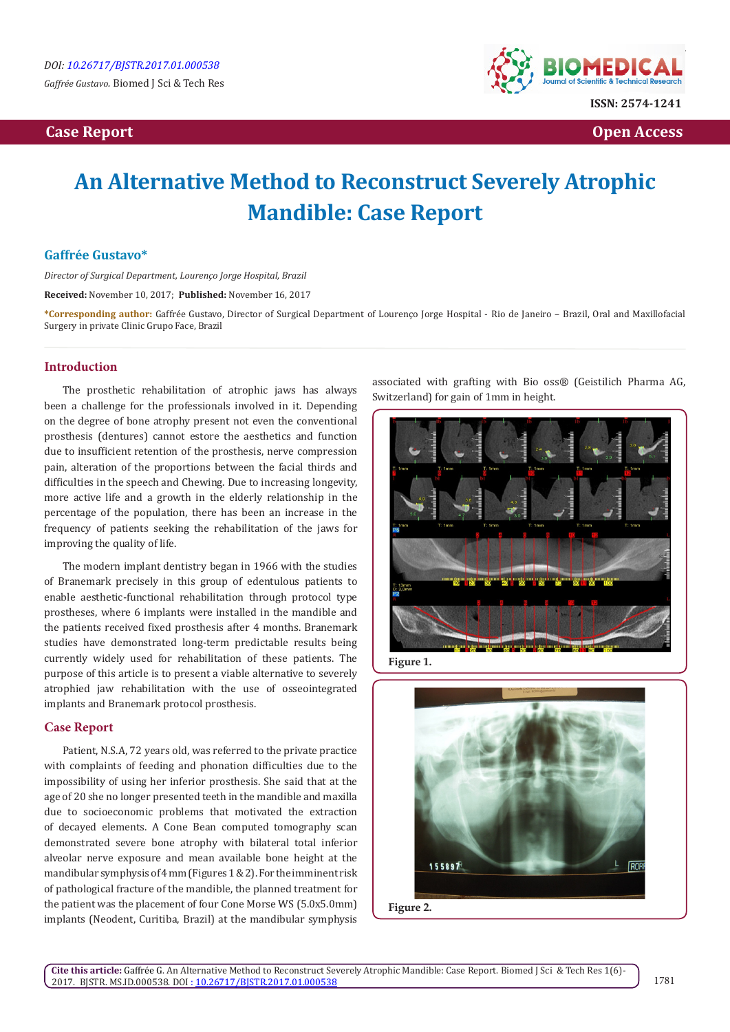

**Case Report Case Report Case Access**  $\alpha$  **Case Report** Case **Open Access Open Access** 

# **An Alternative Method to Reconstruct Severely Atrophic Mandible: Case Report**

# **Gaffrée Gustavo\***

*Director of Surgical Department, Lourenço Jorge Hospital, Brazil*

**Received:** November 10, 2017; **Published:** November 16, 2017

**\*Corresponding author:** Gaffrée Gustavo, Director of Surgical Department of Lourenço Jorge Hospital - Rio de Janeiro – Brazil, Oral and Maxillofacial Surgery in private Clinic Grupo Face, Brazil

### **Introduction**

The prosthetic rehabilitation of atrophic jaws has always been a challenge for the professionals involved in it. Depending on the degree of bone atrophy present not even the conventional prosthesis (dentures) cannot estore the aesthetics and function due to insufficient retention of the prosthesis, nerve compression pain, alteration of the proportions between the facial thirds and difficulties in the speech and Chewing. Due to increasing longevity, more active life and a growth in the elderly relationship in the percentage of the population, there has been an increase in the frequency of patients seeking the rehabilitation of the jaws for improving the quality of life.

The modern implant dentistry began in 1966 with the studies of Branemark precisely in this group of edentulous patients to enable aesthetic-functional rehabilitation through protocol type prostheses, where 6 implants were installed in the mandible and the patients received fixed prosthesis after 4 months. Branemark studies have demonstrated long-term predictable results being currently widely used for rehabilitation of these patients. The purpose of this article is to present a viable alternative to severely atrophied jaw rehabilitation with the use of osseointegrated implants and Branemark protocol prosthesis.

## **Case Report**

Patient, N.S.A, 72 years old, was referred to the private practice with complaints of feeding and phonation difficulties due to the impossibility of using her inferior prosthesis. She said that at the age of 20 she no longer presented teeth in the mandible and maxilla due to socioeconomic problems that motivated the extraction of decayed elements. A Cone Bean computed tomography scan demonstrated severe bone atrophy with bilateral total inferior alveolar nerve exposure and mean available bone height at the mandibular symphysis of 4 mm (Figures 1 & 2). For the imminent risk of pathological fracture of the mandible, the planned treatment for the patient was the placement of four Cone Morse WS (5.0x5.0mm) implants (Neodent, Curitiba, Brazil) at the mandibular symphysis associated with grafting with Bio oss® (Geistilich Pharma AG, Switzerland) for gain of 1mm in height.



**Figure 1.**



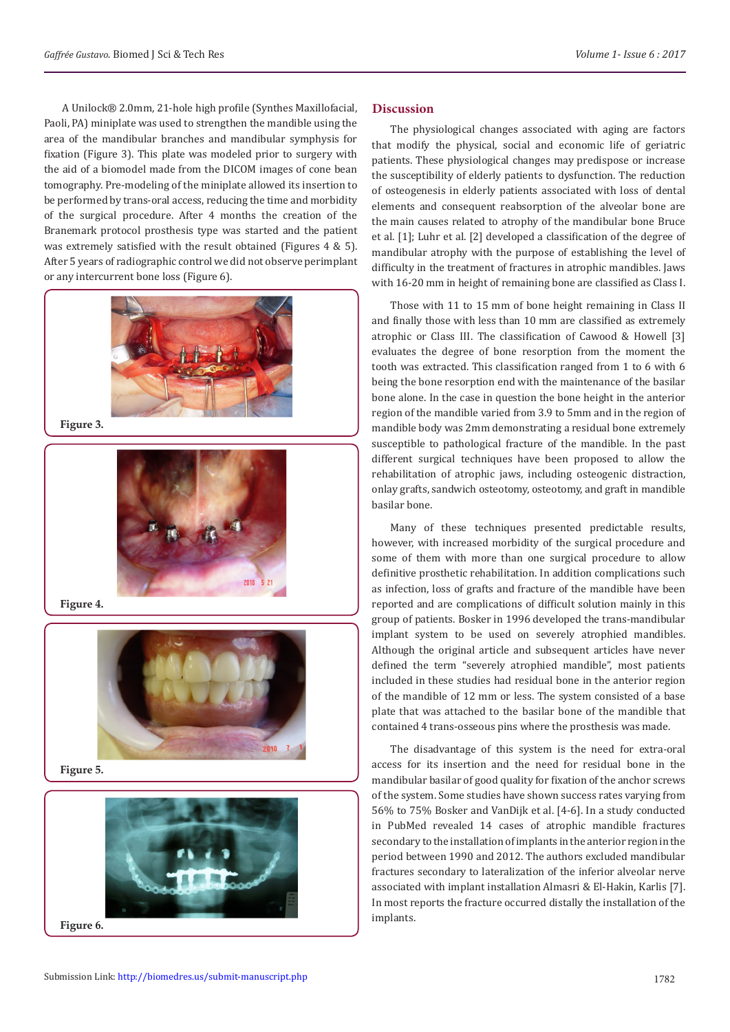A Unilock® 2.0mm, 21-hole high profile (Synthes Maxillofacial, Paoli, PA) miniplate was used to strengthen the mandible using the area of the mandibular branches and mandibular symphysis for fixation (Figure 3). This plate was modeled prior to surgery with the aid of a biomodel made from the DICOM images of cone bean tomography. Pre-modeling of the miniplate allowed its insertion to be performed by trans-oral access, reducing the time and morbidity of the surgical procedure. After 4 months the creation of the Branemark protocol prosthesis type was started and the patient was extremely satisfied with the result obtained (Figures 4 & 5). After 5 years of radiographic control we did not observe perimplant or any intercurrent bone loss (Figure 6).



**Figure 3.**



**Figure 4.**



**Figure 5.**



#### **Figure 6.**

**Discussion**

The physiological changes associated with aging are factors that modify the physical, social and economic life of geriatric patients. These physiological changes may predispose or increase the susceptibility of elderly patients to dysfunction. The reduction of osteogenesis in elderly patients associated with loss of dental elements and consequent reabsorption of the alveolar bone are the main causes related to atrophy of the mandibular bone Bruce et al. [1]; Luhr et al. [2] developed a classification of the degree of mandibular atrophy with the purpose of establishing the level of difficulty in the treatment of fractures in atrophic mandibles. Jaws with 16-20 mm in height of remaining bone are classified as Class I.

Those with 11 to 15 mm of bone height remaining in Class II and finally those with less than 10 mm are classified as extremely atrophic or Class III. The classification of Cawood & Howell [3] evaluates the degree of bone resorption from the moment the tooth was extracted. This classification ranged from 1 to 6 with 6 being the bone resorption end with the maintenance of the basilar bone alone. In the case in question the bone height in the anterior region of the mandible varied from 3.9 to 5mm and in the region of mandible body was 2mm demonstrating a residual bone extremely susceptible to pathological fracture of the mandible. In the past different surgical techniques have been proposed to allow the rehabilitation of atrophic jaws, including osteogenic distraction, onlay grafts, sandwich osteotomy, osteotomy, and graft in mandible basilar bone.

Many of these techniques presented predictable results, however, with increased morbidity of the surgical procedure and some of them with more than one surgical procedure to allow definitive prosthetic rehabilitation. In addition complications such as infection, loss of grafts and fracture of the mandible have been reported and are complications of difficult solution mainly in this group of patients. Bosker in 1996 developed the trans-mandibular implant system to be used on severely atrophied mandibles. Although the original article and subsequent articles have never defined the term "severely atrophied mandible", most patients included in these studies had residual bone in the anterior region of the mandible of 12 mm or less. The system consisted of a base plate that was attached to the basilar bone of the mandible that contained 4 trans-osseous pins where the prosthesis was made.

The disadvantage of this system is the need for extra-oral access for its insertion and the need for residual bone in the mandibular basilar of good quality for fixation of the anchor screws of the system. Some studies have shown success rates varying from 56% to 75% Bosker and VanDijk et al. [4-6]. In a study conducted in PubMed revealed 14 cases of atrophic mandible fractures secondary to the installation of implants in the anterior region in the period between 1990 and 2012. The authors excluded mandibular fractures secondary to lateralization of the inferior alveolar nerve associated with implant installation Almasri & El-Hakin, Karlis [7]. In most reports the fracture occurred distally the installation of the implants.